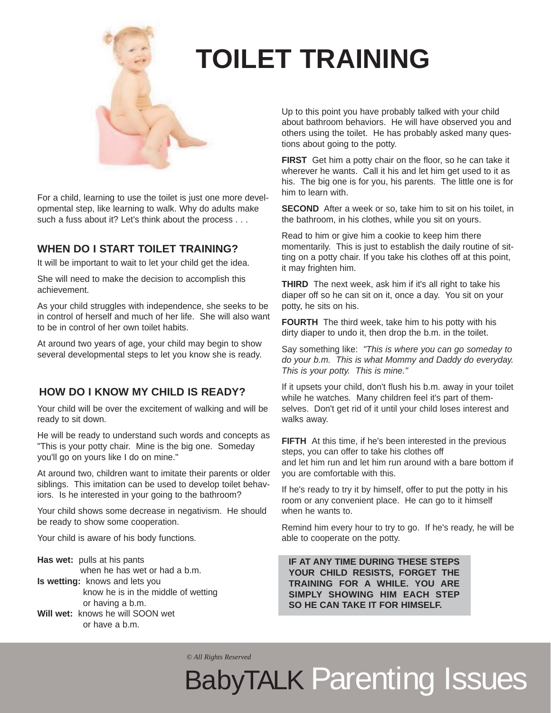

### **TOILET TRAINING**

For a child, learning to use the toilet is just one more developmental step, like learning to walk. Why do adults make such a fuss about it? Let's think about the process . . .

#### **WHEN DO I START TOILET TRAINING?**

It will be important to wait to let your child get the idea.

She will need to make the decision to accomplish this achievement.

As your child struggles with independence, she seeks to be in control of herself and much of her life. She will also want to be in control of her own toilet habits.

At around two years of age, your child may begin to show several developmental steps to let you know she is ready.

#### **HOW DO I KNOW MY CHILD IS READY?**

Your child will be over the excitement of walking and will be ready to sit down.

He will be ready to understand such words and concepts as "This is your potty chair. Mine is the big one. Someday you'll go on yours like I do on mine."

At around two, children want to imitate their parents or older siblings. This imitation can be used to develop toilet behaviors. Is he interested in your going to the bathroom?

Your child shows some decrease in negativism. He should be ready to show some cooperation.

Your child is aware of his body functions.

**Has wet:** pulls at his pants when he has wet or had a b.m. **Is wetting:** knows and lets you know he is in the middle of wetting or having a b.m. **Will wet:** knows he will SOON wet or have a b.m.

Up to this point you have probably talked with your child about bathroom behaviors. He will have observed you and others using the toilet. He has probably asked many questions about going to the potty.

**FIRST** Get him a potty chair on the floor, so he can take it wherever he wants. Call it his and let him get used to it as his. The big one is for you, his parents. The little one is for him to learn with.

**SECOND** After a week or so, take him to sit on his toilet, in the bathroom, in his clothes, while you sit on yours.

Read to him or give him a cookie to keep him there momentarily. This is just to establish the daily routine of sitting on a potty chair. If you take his clothes off at this point, it may frighten him.

**THIRD** The next week, ask him if it's all right to take his diaper off so he can sit on it, once a day. You sit on your potty, he sits on his.

**FOURTH** The third week, take him to his potty with his dirty diaper to undo it, then drop the b.m. in the toilet.

Say something like: *"This is where you can go someday to do your b.m. This is what Mommy and Daddy do everyday. This is your potty. This is mine."*

If it upsets your child, don't flush his b.m. away in your toilet while he watches. Many children feel it's part of themselves. Don't get rid of it until your child loses interest and walks away.

**FIFTH** At this time, if he's been interested in the previous steps, you can offer to take his clothes off and let him run and let him run around with a bare bottom if you are comfortable with this.

If he's ready to try it by himself, offer to put the potty in his room or any convenient place. He can go to it himself when he wants to.

Remind him every hour to try to go. If he's ready, he will be able to cooperate on the potty.

**IF AT ANY TIME DURING THESE STEPS YOUR CHILD RESISTS, FORGET THE TRAINING FOR A WHILE. YOU ARE SIMPLY SHOWING HIM EACH STEP SO HE CAN TAKE IT FOR HIMSELF.**

*© All Rights Reserved*

## BabyTALK Parenting Issues